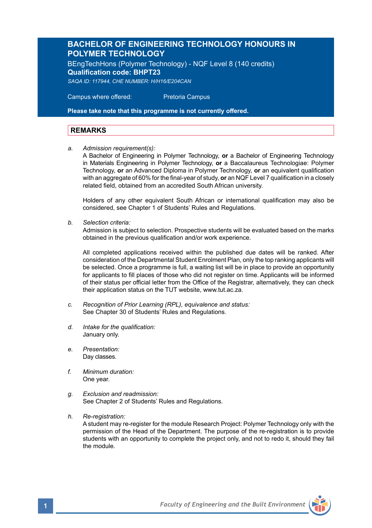# **BACHELOR OF ENGINEERING TECHNOLOGY HONOURS IN POLYMER TECHNOLOGY**

BEngTechHons (Polymer Technology) - NQF Level 8 (140 credits) **Qualification code: BHPT23** *SAQA ID: 117944, CHE NUMBER: H/H16/E204CAN*

 Campus where offered: Pretoria Campus

**Please take note that this programme is not currently offered.** 

# **REMARKS**

*a. Admission requirement(s):*

A Bachelor of Engineering in Polymer Technology, **or** a Bachelor of Engineering Technology in Materials Engineering in Polymer Technology, **or** a Baccalaureus Technologiae: Polymer Technology, **or** an Advanced Diploma in Polymer Technology, **or** an equivalent qualification with an aggregate of 60% for the final-year of study, **or** an NQF Level 7 qualification in a closely related field, obtained from an accredited South African university.

Holders of any other equivalent South African or international qualification may also be considered, see Chapter 1 of Students' Rules and Regulations.

*b. Selection criteria:*

Admission is subject to selection. Prospective students will be evaluated based on the marks obtained in the previous qualification and/or work experience.

All completed applications received within the published due dates will be ranked. After consideration of the Departmental Student Enrolment Plan, only the top ranking applicants will be selected. Once a programme is full, a waiting list will be in place to provide an opportunity for applicants to fill places of those who did not register on time. Applicants will be informed of their status per official letter from the Office of the Registrar, alternatively, they can check their application status on the TUT website, www.tut.ac.za.

- *c. Recognition of Prior Learning (RPL), equivalence and status:* See Chapter 30 of Students' Rules and Regulations.
- *d. Intake for the qualification:* January only.
- *e. Presentation:*  Dav classes.
- *f. Minimum duration:* One year.
- *g. Exclusion and readmission:* See Chapter 2 of Students' Rules and Regulations.
- *h. Re-registration:*

A student may re-register for the module Research Project: Polymer Technology only with the permission of the Head of the Department. The purpose of the re-registration is to provide students with an opportunity to complete the project only, and not to redo it, should they fail the module.

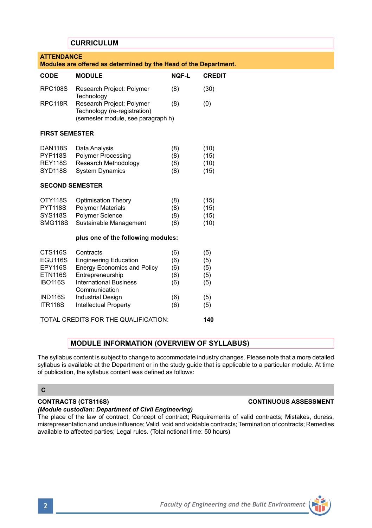# **CURRICULUM**

| <b>ATTENDANCE</b><br>Modules are offered as determined by the Head of the Department. |                                                                                                 |              |               |  |  |  |  |  |
|---------------------------------------------------------------------------------------|-------------------------------------------------------------------------------------------------|--------------|---------------|--|--|--|--|--|
| CODE                                                                                  | <b>MODULE</b>                                                                                   | <b>NOF-L</b> | <b>CREDIT</b> |  |  |  |  |  |
| <b>RPC108S</b>                                                                        | Research Project: Polymer<br>Technology                                                         | (8)          | (30)          |  |  |  |  |  |
| RPC118R                                                                               | Research Project: Polymer<br>Technology (re-registration)<br>(semester module, see paragraph h) | (8)          | (0)           |  |  |  |  |  |
| <b>FIRST SEMESTER</b>                                                                 |                                                                                                 |              |               |  |  |  |  |  |
| <b>DAN118S</b>                                                                        | Data Analysis                                                                                   | (8)          | (10)          |  |  |  |  |  |
| <b>PYP118S</b>                                                                        | <b>Polymer Processing</b>                                                                       | (8)          | (15)          |  |  |  |  |  |
| <b>REY118S</b>                                                                        | Research Methodology                                                                            | (8)          | (10)          |  |  |  |  |  |
| <b>SYD118S</b>                                                                        | <b>System Dynamics</b>                                                                          | (8)          | (15)          |  |  |  |  |  |
| <b>SECOND SEMESTER</b>                                                                |                                                                                                 |              |               |  |  |  |  |  |
| OTY118S                                                                               | <b>Optimisation Theory</b>                                                                      | (8)          | (15)          |  |  |  |  |  |
| <b>PYT118S</b>                                                                        | <b>Polymer Materials</b>                                                                        | (8)          | (15)          |  |  |  |  |  |
| <b>SYS118S</b>                                                                        | Polymer Science                                                                                 | (8)          | (15)          |  |  |  |  |  |
| <b>SMG118S</b>                                                                        | Sustainable Management                                                                          | (8)          | (10)          |  |  |  |  |  |
| plus one of the following modules:                                                    |                                                                                                 |              |               |  |  |  |  |  |
| <b>CTS116S</b>                                                                        | Contracts                                                                                       | (6)          | (5)           |  |  |  |  |  |
| <b>EGU116S</b>                                                                        | <b>Engineering Education</b>                                                                    | (6)          | (5)           |  |  |  |  |  |
| EPY116S                                                                               | <b>Energy Economics and Policy</b>                                                              | (6)          | (5)           |  |  |  |  |  |
| <b>ETN116S</b>                                                                        | Entrepreneurship                                                                                | (6)          | (5)           |  |  |  |  |  |
| <b>IBO116S</b>                                                                        | <b>International Business</b><br>Communication                                                  | (6)          | (5)           |  |  |  |  |  |
| <b>IND116S</b>                                                                        | <b>Industrial Design</b>                                                                        | (6)          | (5)           |  |  |  |  |  |
| <b>ITR116S</b>                                                                        | Intellectual Property                                                                           | (6)          | (5)           |  |  |  |  |  |
| TOTAL CREDITS FOR THE QUALIFICATION:                                                  | 140                                                                                             |              |               |  |  |  |  |  |

# **MODULE INFORMATION (OVERVIEW OF SYLLABUS)**

The syllabus content is subject to change to accommodate industry changes. Please note that a more detailed syllabus is available at the Department or in the study guide that is applicable to a particular module. At time of publication, the syllabus content was defined as follows:

# **C**

# **CONTRACTS (CTS116S) CONTINUOUS ASSESSMENT**

### *(Module custodian: Department of Civil Engineering)*

The place of the law of contract; Concept of contract; Requirements of valid contracts; Mistakes, duress, misrepresentation and undue influence; Valid, void and voidable contracts; Termination of contracts; Remedies available to affected parties; Legal rules. (Total notional time: 50 hours)

| $\overline{\phantom{a}}$ |  | i. | 7 |
|--------------------------|--|----|---|
|                          |  |    |   |
|                          |  |    |   |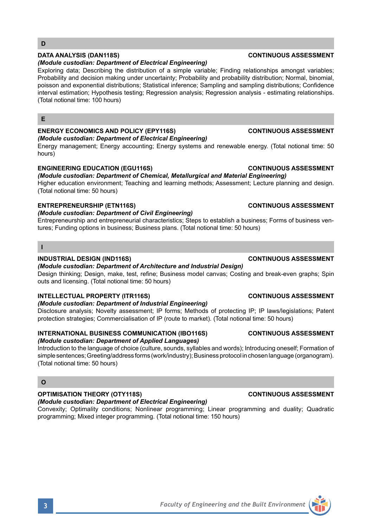### **ENERGY ECONOMICS AND POLICY (EPY116S) CONTINUOUS ASSESSMENT**  *(Module custodian: Department of Electrical Engineering)*

*(Module custodian: Department of Electrical Engineering)*

Energy management; Energy accounting; Energy systems and renewable energy. (Total notional time: 50 hours)

Exploring data; Describing the distribution of a simple variable; Finding relationships amongst variables; Probability and decision making under uncertainty: Probability and probability distribution: Normal, binomial, poisson and exponential distributions; Statistical inference; Sampling and sampling distributions; Confidence interval estimation; Hypothesis testing; Regression analysis; Regression analysis - estimating relationships.

# **ENGINEERING EDUCATION (EGU116S) CONTINUOUS ASSESSMENT**

# *(Module custodian: Department of Chemical, Metallurgical and Material Engineering)*

Higher education environment; Teaching and learning methods; Assessment; Lecture planning and design. (Total notional time: 50 hours)

# **ENTREPRENEURSHIP (ETN116S) CONTINUOUS ASSESSMENT**

(Total notional time: 100 hours)

# *(Module custodian: Department of Civil Engineering)*

Entrepreneurship and entrepreneurial characteristics; Steps to establish a business; Forms of business ventures; Funding options in business; Business plans. (Total notional time: 50 hours)

### **I**

**D**

**E**

### **INDUSTRIAL DESIGN (IND116S) CONTINUOUS ASSESSMENT**

### *(Module custodian: Department of Architecture and Industrial Design)*

Design thinking; Design, make, test, refine; Business model canvas; Costing and break-even graphs; Spin outs and licensing. (Total notional time: 50 hours)

### **INTELLECTUAL PROPERTY (ITR116S) CONTINUOUS ASSESSMENT**

### *(Module custodian: Department of Industrial Engineering)*

Disclosure analysis; Novelty assessment; IP forms; Methods of protecting IP; IP laws/legislations; Patent protection strategies; Commercialisation of IP (route to market). (Total notional time: 50 hours)

### **INTERNATIONAL BUSINESS COMMUNICATION (IBO116S) CONTINUOUS ASSESSMENT**  *(Module custodian: Department of Applied Languages)*

Introduction to the language of choice (culture, sounds, syllables and words); Introducing oneself; Formation of simple sentences; Greeting/address forms (work/industry); Business protocol in chosen language (organogram). (Total notional time: 50 hours)

### **O**

# **OPTIMISATION THEORY (OTY118S) CONTINUOUS ASSESSMENT**

# *(Module custodian: Department of Electrical Engineering)*

Convexity; Optimality conditions; Nonlinear programming; Linear programming and duality; Quadratic programming; Mixed integer programming. (Total notional time: 150 hours)